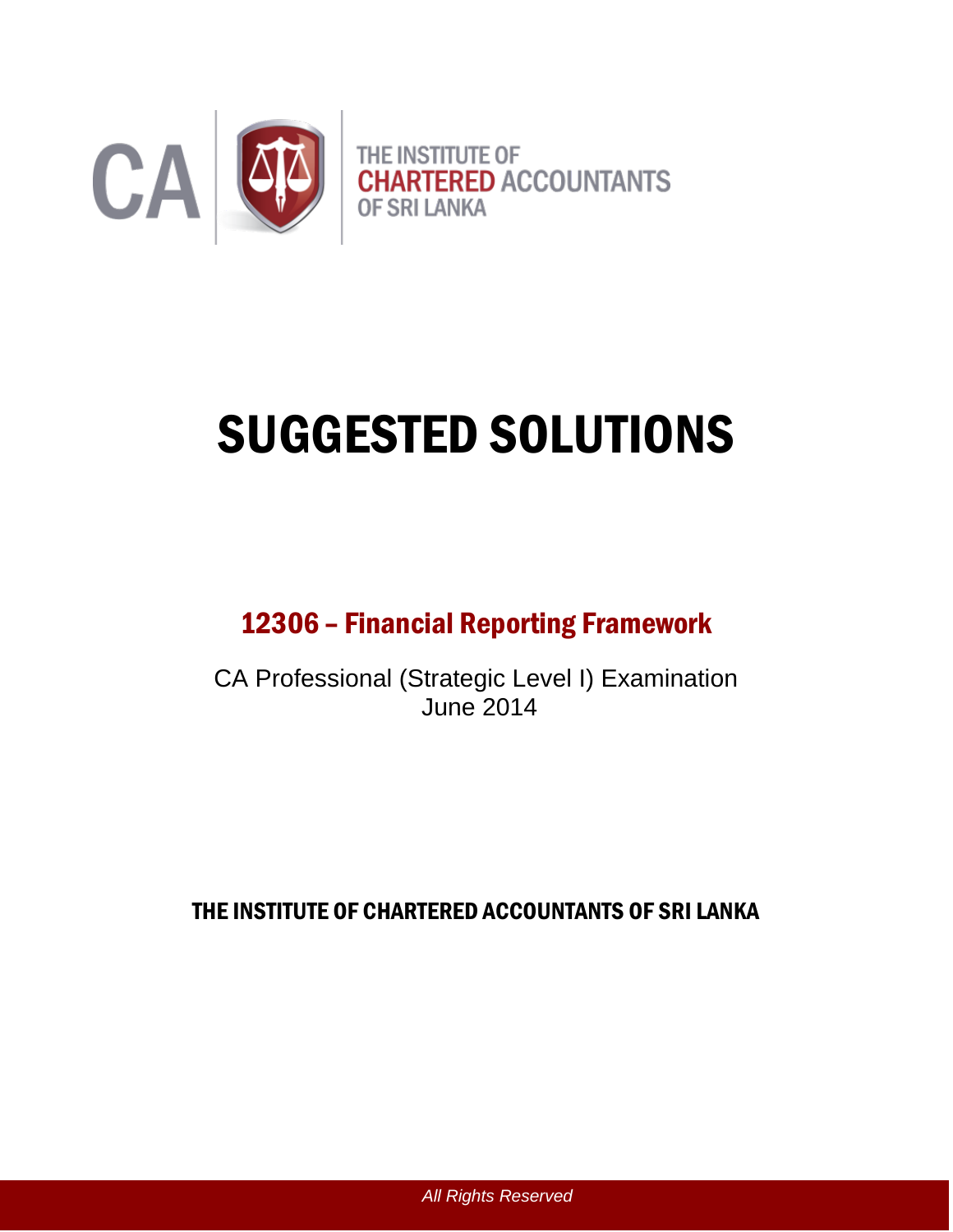

# SUGGESTED SOLUTIONS

# 12306 – Financial Reporting Framework

CA Professional (Strategic Level I) Examination June 2014

THE INSTITUTE OF CHARTERED ACCOUNTANTS OF SRI LANKA

*All Rights Reserved*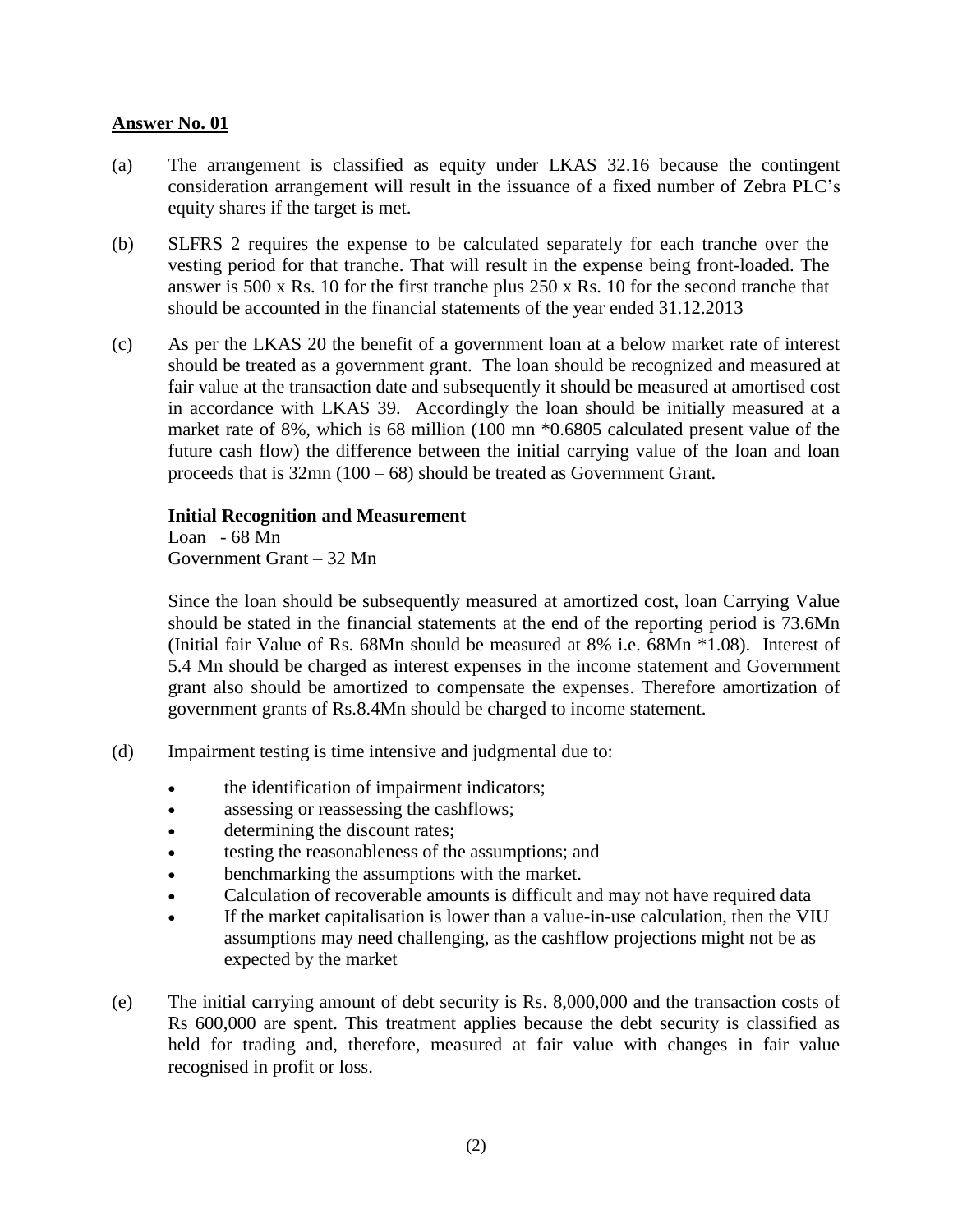- (a) The arrangement is classified as equity under LKAS 32.16 because the contingent consideration arrangement will result in the issuance of a fixed number of Zebra PLC's equity shares if the target is met.
- (b) SLFRS 2 requires the expense to be calculated separately for each tranche over the vesting period for that tranche. That will result in the expense being front-loaded. The answer is 500 x Rs. 10 for the first tranche plus 250 x Rs. 10 for the second tranche that should be accounted in the financial statements of the year ended 31.12.2013
- (c) As per the LKAS 20 the benefit of a government loan at a below market rate of interest should be treated as a government grant. The loan should be recognized and measured at fair value at the transaction date and subsequently it should be measured at amortised cost in accordance with LKAS 39. Accordingly the loan should be initially measured at a market rate of 8%, which is 68 million (100 mn \*0.6805 calculated present value of the future cash flow) the difference between the initial carrying value of the loan and loan proceeds that is 32mn (100 – 68) should be treated as Government Grant.

#### **Initial Recognition and Measurement**

Loan - 68 Mn Government Grant – 32 Mn

Since the loan should be subsequently measured at amortized cost, loan Carrying Value should be stated in the financial statements at the end of the reporting period is 73.6Mn (Initial fair Value of Rs. 68Mn should be measured at 8% i.e. 68Mn \*1.08). Interest of 5.4 Mn should be charged as interest expenses in the income statement and Government grant also should be amortized to compensate the expenses. Therefore amortization of government grants of Rs.8.4Mn should be charged to income statement.

- (d) Impairment testing is time intensive and judgmental due to:
	- the identification of impairment indicators;
	- assessing or reassessing the cashflows;
	- determining the discount rates;
	- testing the reasonableness of the assumptions; and
	- benchmarking the assumptions with the market.
	- Calculation of recoverable amounts is difficult and may not have required data
	- If the market capitalisation is lower than a value-in-use calculation, then the VIU assumptions may need challenging, as the cashflow projections might not be as expected by the market
- (e) The initial carrying amount of debt security is Rs. 8,000,000 and the transaction costs of Rs 600,000 are spent. This treatment applies because the debt security is classified as held for trading and, therefore, measured at fair value with changes in fair value recognised in profit or loss.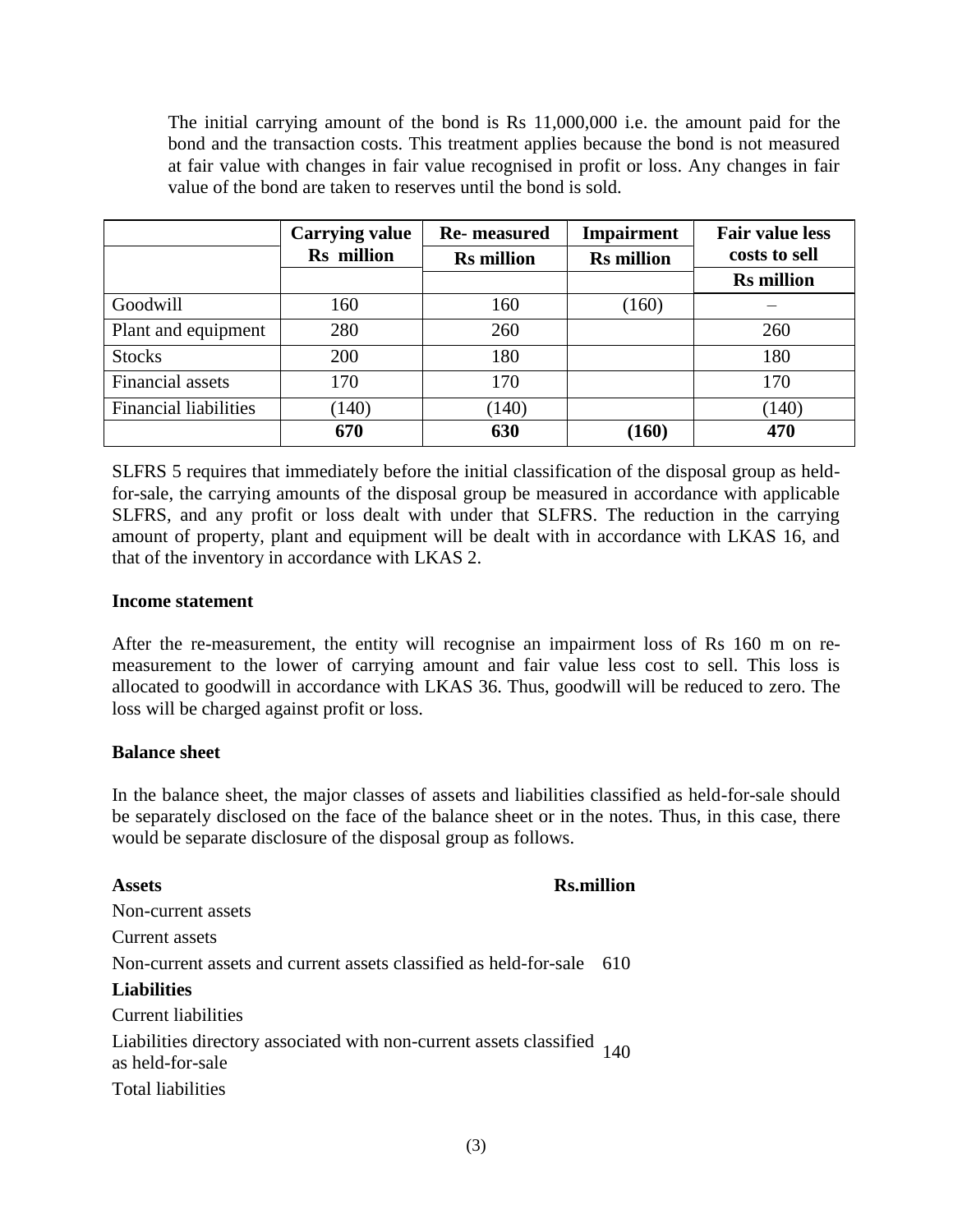The initial carrying amount of the bond is Rs 11,000,000 i.e. the amount paid for the bond and the transaction costs. This treatment applies because the bond is not measured at fair value with changes in fair value recognised in profit or loss. Any changes in fair value of the bond are taken to reserves until the bond is sold.

|                              | <b>Carrying value</b> | <b>Re-</b> measured | <b>Impairment</b> | <b>Fair value less</b> |  |
|------------------------------|-----------------------|---------------------|-------------------|------------------------|--|
|                              | Rs million            | <b>Rs</b> million   | <b>Rs</b> million | costs to sell          |  |
|                              |                       |                     |                   | <b>Rs</b> million      |  |
| Goodwill                     | 160                   | 160                 | (160)             |                        |  |
| Plant and equipment          | 280                   | 260                 |                   | 260                    |  |
| <b>Stocks</b>                | 200                   | 180                 |                   | 180                    |  |
| <b>Financial</b> assets      | 170                   | 170                 |                   | 170                    |  |
| <b>Financial liabilities</b> | (140)                 | (140)               |                   | (140)                  |  |
|                              | 670                   | 630                 | (160)             | 470                    |  |

SLFRS 5 requires that immediately before the initial classification of the disposal group as heldfor-sale, the carrying amounts of the disposal group be measured in accordance with applicable SLFRS, and any profit or loss dealt with under that SLFRS. The reduction in the carrying amount of property, plant and equipment will be dealt with in accordance with LKAS 16, and that of the inventory in accordance with LKAS 2.

#### **Income statement**

After the re-measurement, the entity will recognise an impairment loss of Rs 160 m on remeasurement to the lower of carrying amount and fair value less cost to sell. This loss is allocated to goodwill in accordance with LKAS 36. Thus, goodwill will be reduced to zero. The loss will be charged against profit or loss.

#### **Balance sheet**

In the balance sheet, the major classes of assets and liabilities classified as held-for-sale should be separately disclosed on the face of the balance sheet or in the notes. Thus, in this case, there would be separate disclosure of the disposal group as follows.

## **Assets Rs.million** Non-current assets Current assets Non-current assets and current assets classified as held-for-sale 610 **Liabilities** Current liabilities Liabilities directory associated with non-current assets classified as held-for-sale <sup>140</sup> Total liabilities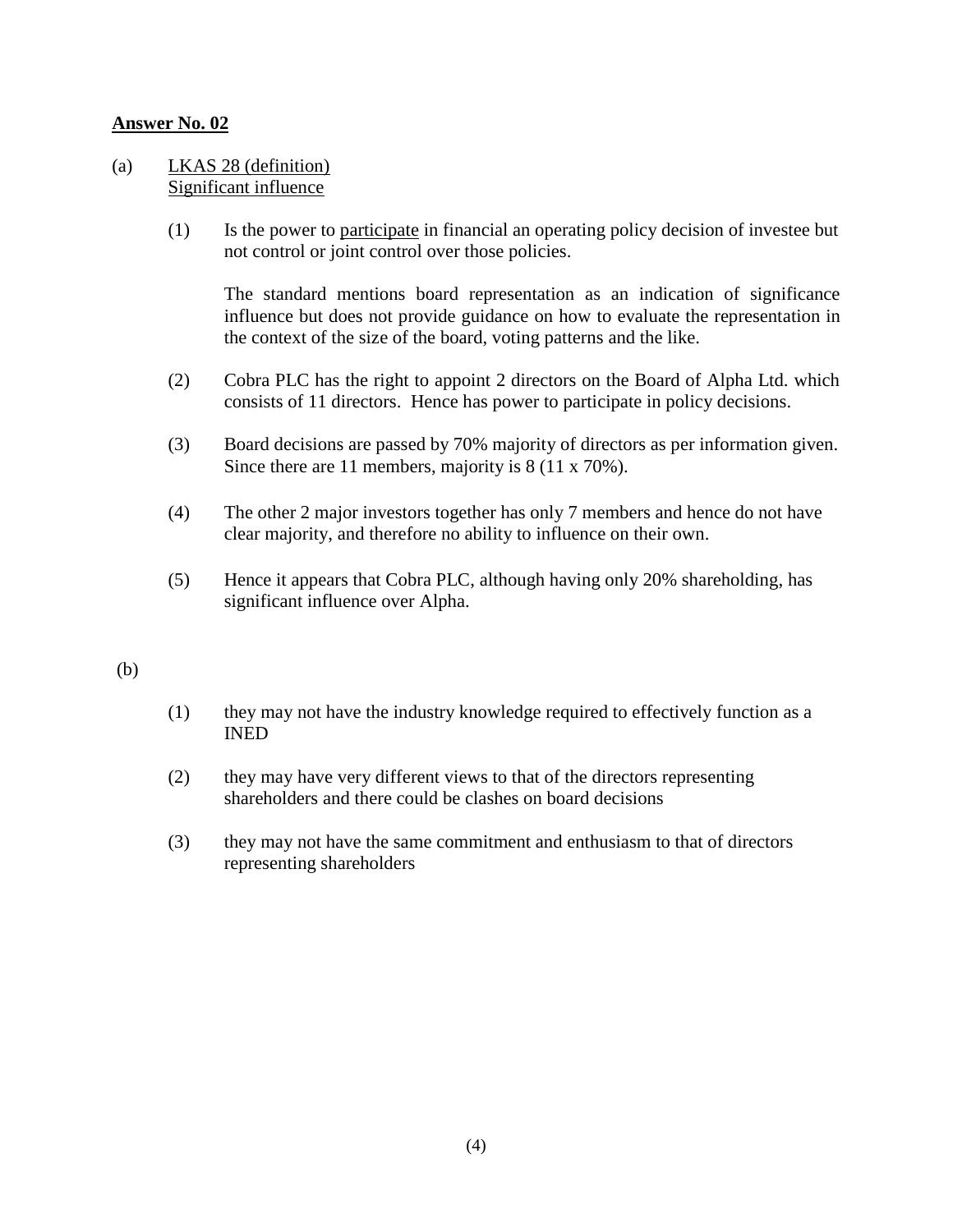#### (a) LKAS 28 (definition) Significant influence

(1) Is the power to participate in financial an operating policy decision of investee but not control or joint control over those policies.

The standard mentions board representation as an indication of significance influence but does not provide guidance on how to evaluate the representation in the context of the size of the board, voting patterns and the like.

- (2) Cobra PLC has the right to appoint 2 directors on the Board of Alpha Ltd. which consists of 11 directors. Hence has power to participate in policy decisions.
- (3) Board decisions are passed by 70% majority of directors as per information given. Since there are 11 members, majority is 8 (11 x 70%).
- (4) The other 2 major investors together has only 7 members and hence do not have clear majority, and therefore no ability to influence on their own.
- (5) Hence it appears that Cobra PLC, although having only 20% shareholding, has significant influence over Alpha.

#### (b)

- (1) they may not have the industry knowledge required to effectively function as a INED
- (2) they may have very different views to that of the directors representing shareholders and there could be clashes on board decisions
- (3) they may not have the same commitment and enthusiasm to that of directors representing shareholders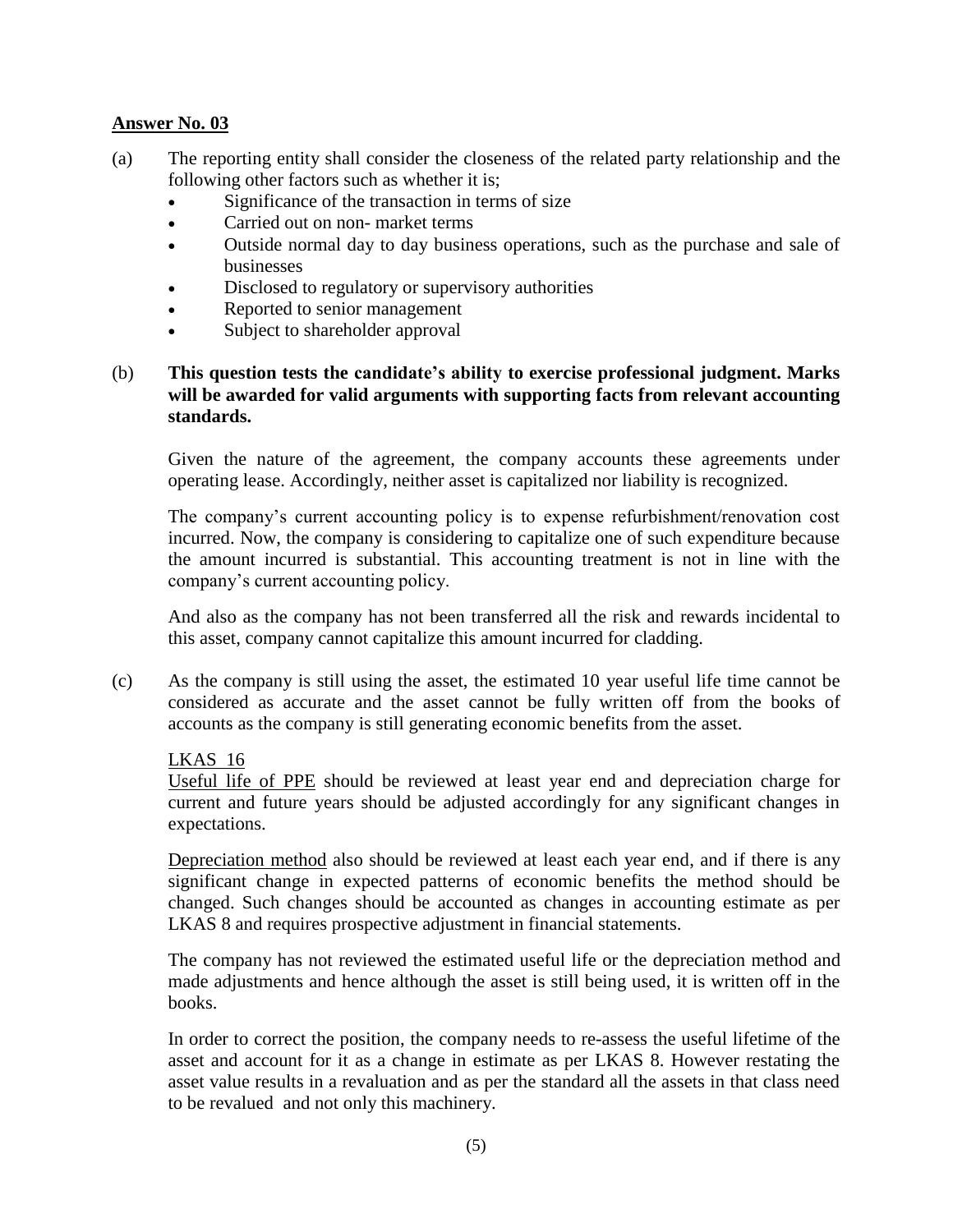- (a) The reporting entity shall consider the closeness of the related party relationship and the following other factors such as whether it is;
	- Significance of the transaction in terms of size
	- Carried out on non-market terms
	- Outside normal day to day business operations, such as the purchase and sale of businesses
	- Disclosed to regulatory or supervisory authorities
	- Reported to senior management
	- Subject to shareholder approval

#### (b) **This question tests the candidate's ability to exercise professional judgment. Marks will be awarded for valid arguments with supporting facts from relevant accounting standards.**

Given the nature of the agreement, the company accounts these agreements under operating lease. Accordingly, neither asset is capitalized nor liability is recognized.

The company's current accounting policy is to expense refurbishment/renovation cost incurred. Now, the company is considering to capitalize one of such expenditure because the amount incurred is substantial. This accounting treatment is not in line with the company's current accounting policy.

And also as the company has not been transferred all the risk and rewards incidental to this asset, company cannot capitalize this amount incurred for cladding.

(c) As the company is still using the asset, the estimated 10 year useful life time cannot be considered as accurate and the asset cannot be fully written off from the books of accounts as the company is still generating economic benefits from the asset.

#### LKAS 16

Useful life of PPE should be reviewed at least year end and depreciation charge for current and future years should be adjusted accordingly for any significant changes in expectations.

Depreciation method also should be reviewed at least each year end, and if there is any significant change in expected patterns of economic benefits the method should be changed. Such changes should be accounted as changes in accounting estimate as per LKAS 8 and requires prospective adjustment in financial statements.

The company has not reviewed the estimated useful life or the depreciation method and made adjustments and hence although the asset is still being used, it is written off in the books.

In order to correct the position, the company needs to re-assess the useful lifetime of the asset and account for it as a change in estimate as per LKAS 8. However restating the asset value results in a revaluation and as per the standard all the assets in that class need to be revalued and not only this machinery.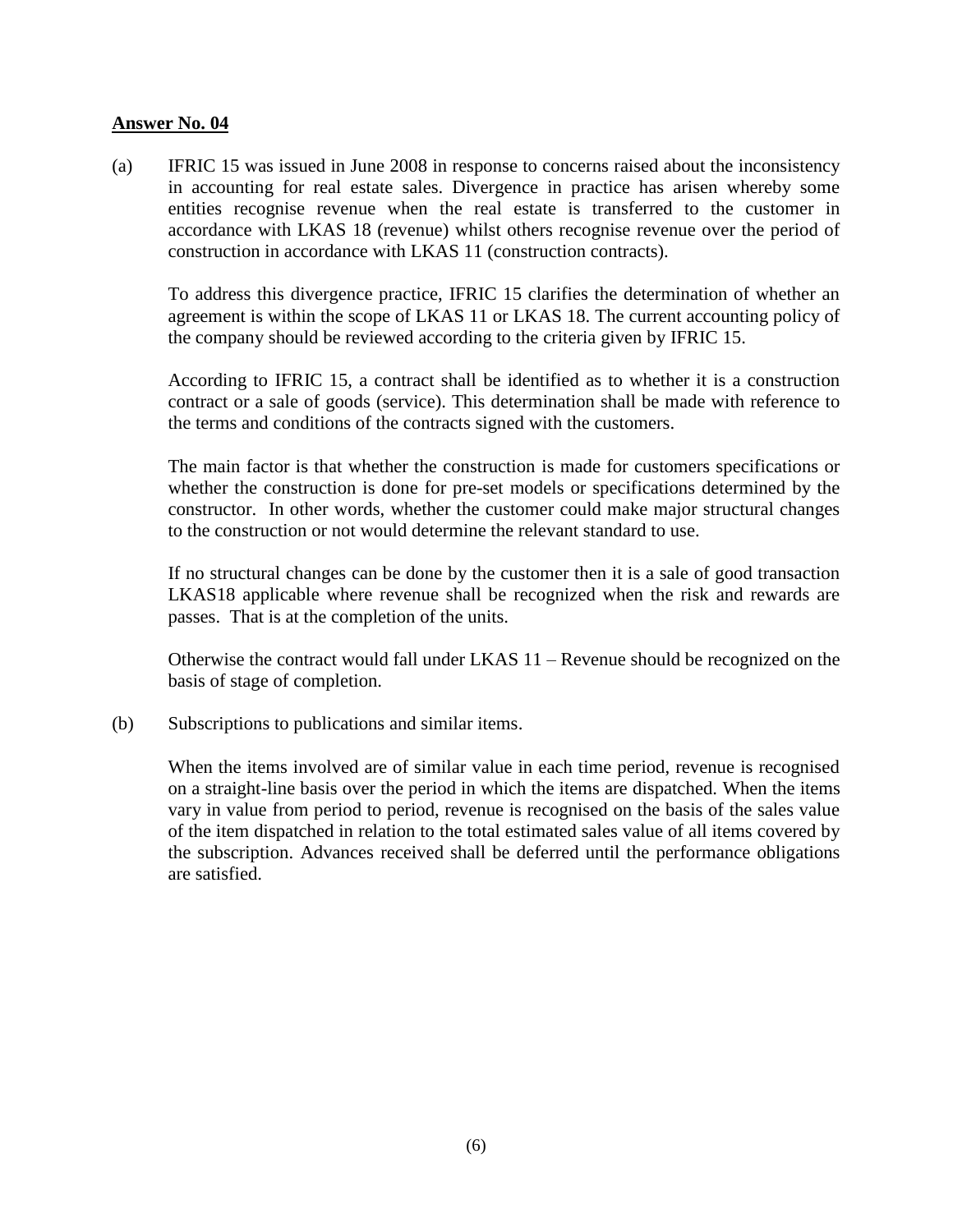(a) IFRIC 15 was issued in June 2008 in response to concerns raised about the inconsistency in accounting for real estate sales. Divergence in practice has arisen whereby some entities recognise revenue when the real estate is transferred to the customer in accordance with LKAS 18 (revenue) whilst others recognise revenue over the period of construction in accordance with LKAS 11 (construction contracts).

 To address this divergence practice, IFRIC 15 clarifies the determination of whether an agreement is within the scope of LKAS 11 or LKAS 18. The current accounting policy of the company should be reviewed according to the criteria given by IFRIC 15.

 According to IFRIC 15, a contract shall be identified as to whether it is a construction contract or a sale of goods (service). This determination shall be made with reference to the terms and conditions of the contracts signed with the customers.

The main factor is that whether the construction is made for customers specifications or whether the construction is done for pre-set models or specifications determined by the constructor. In other words, whether the customer could make major structural changes to the construction or not would determine the relevant standard to use.

If no structural changes can be done by the customer then it is a sale of good transaction LKAS18 applicable where revenue shall be recognized when the risk and rewards are passes. That is at the completion of the units.

Otherwise the contract would fall under LKAS 11 – Revenue should be recognized on the basis of stage of completion.

(b) Subscriptions to publications and similar items.

When the items involved are of similar value in each time period, revenue is recognised on a straight-line basis over the period in which the items are dispatched. When the items vary in value from period to period, revenue is recognised on the basis of the sales value of the item dispatched in relation to the total estimated sales value of all items covered by the subscription. Advances received shall be deferred until the performance obligations are satisfied.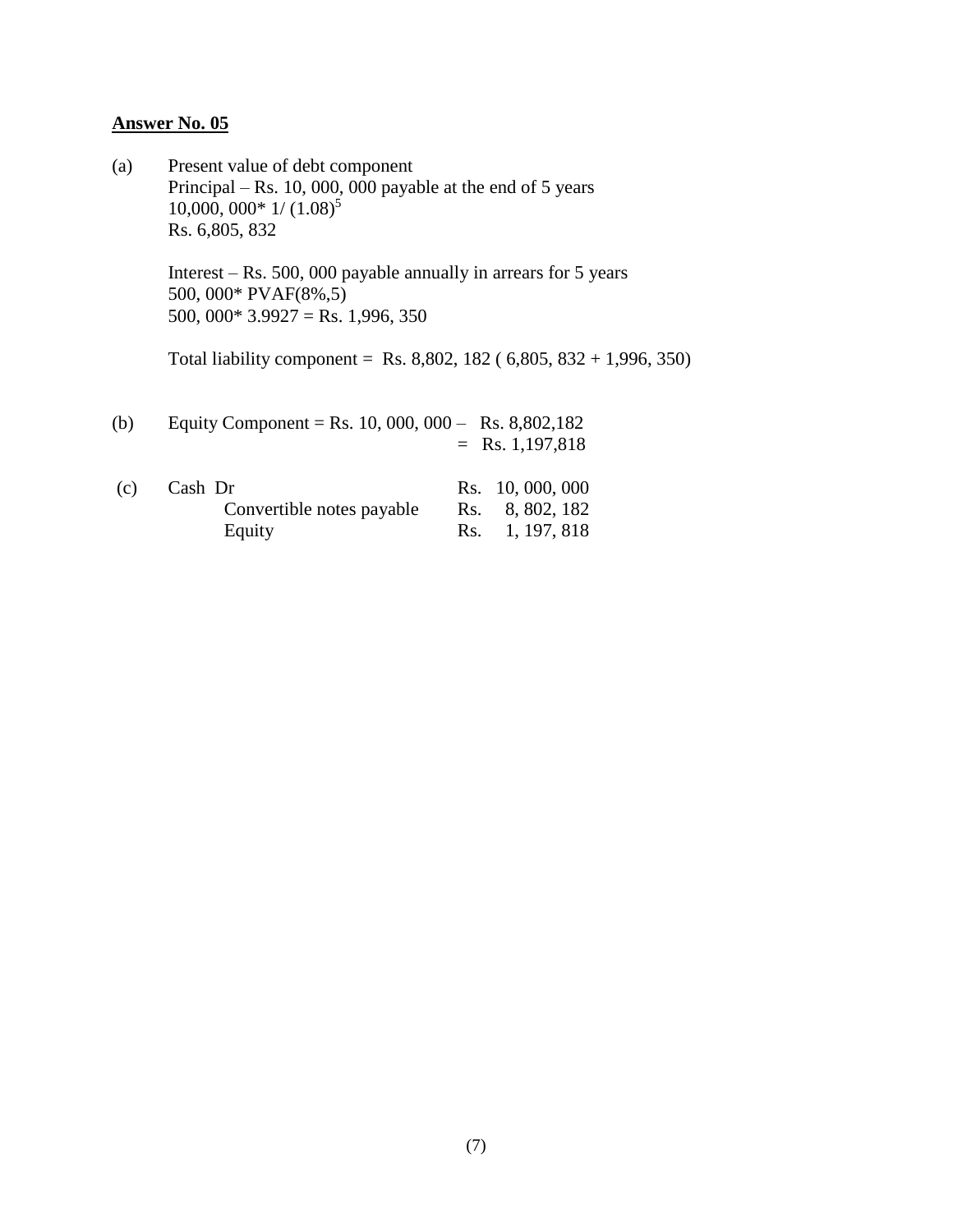(a) Present value of debt component Principal – Rs. 10, 000, 000 payable at the end of 5 years  $10,000,000*1/(1.08)^5$ Rs. 6,805, 832

> Interest – Rs. 500, 000 payable annually in arrears for 5 years 500, 000\* PVAF(8%,5) 500, 000\*  $3.9927 =$ Rs. 1,996, 350

Total liability component = Rs. 8,802, 182 ( $6,805, 832 + 1,996, 350$ )

(b) Equity Component = Rs. 10, 000, 000 – Rs. 8,802,182  $=$  Rs. 1,197,818

| (c) | Cash Dr                   | Rs. 10, 000, 000 |
|-----|---------------------------|------------------|
|     | Convertible notes payable | Rs. 8, 802, 182  |
|     | Equity                    | Rs. 1, 197, 818  |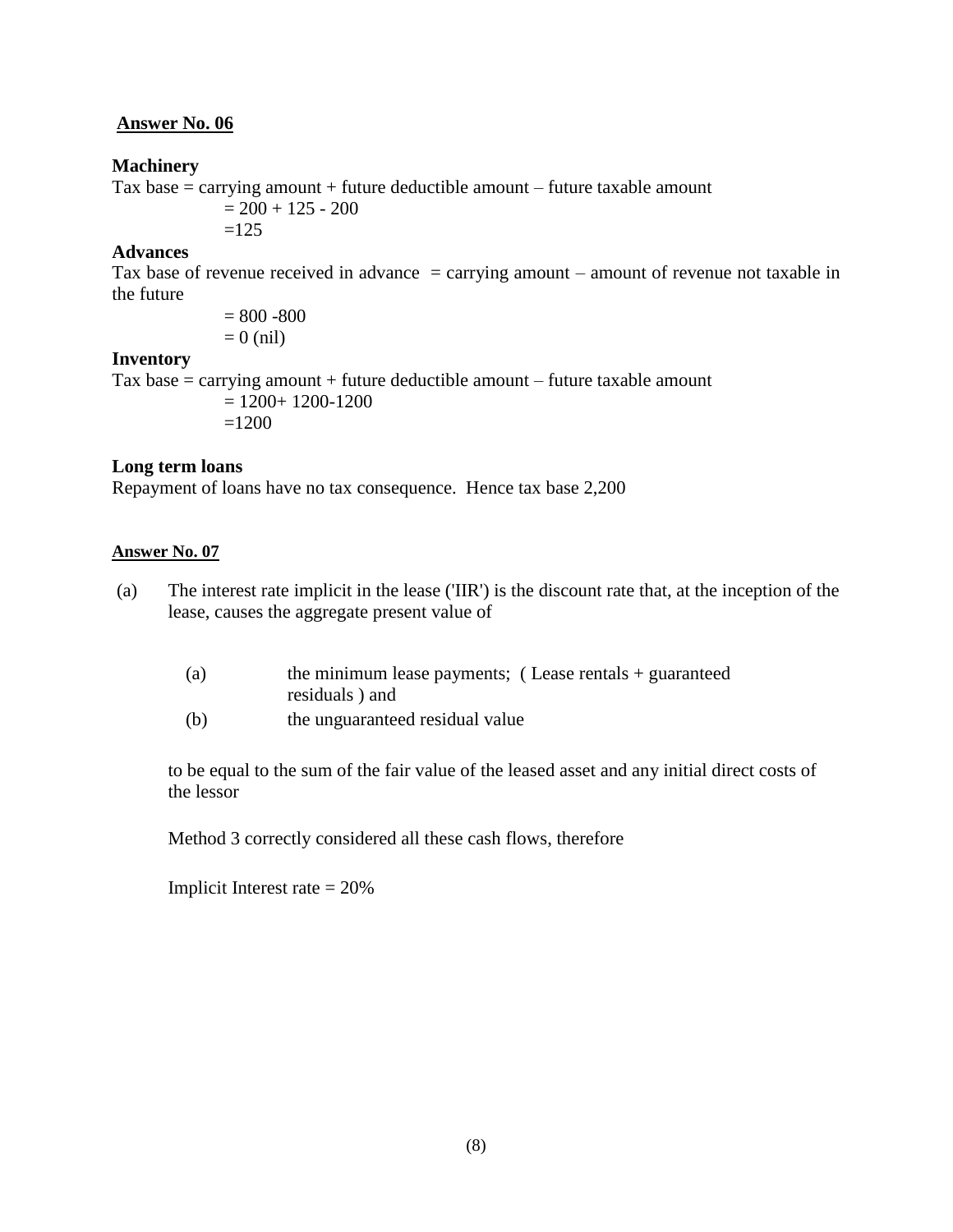#### **Machinery**

Tax base  $=$  carrying amount  $+$  future deductible amount  $-$  future taxable amount  $= 200 + 125 - 200$  $=125$ 

#### **Advances**

Tax base of revenue received in advance  $=$  carrying amount – amount of revenue not taxable in the future

> $= 800 - 800$  $= 0$  (nil)

#### **Inventory**

Tax base  $=$  carrying amount  $+$  future deductible amount  $-$  future taxable amount

 $= 1200+ 1200-1200$  $=1200$ 

#### **Long term loans**

Repayment of loans have no tax consequence. Hence tax base 2,200

#### **Answer No. 07**

- (a) The interest rate implicit in the lease ('IIR') is the discount rate that, at the inception of the lease, causes the aggregate present value of
	- (a) the minimum lease payments; ( Lease rentals + guaranteed residuals ) and
	- (b) the unguaranteed residual value

to be equal to the sum of the fair value of the leased asset and any initial direct costs of the lessor

Method 3 correctly considered all these cash flows, therefore

Implicit Interest rate  $= 20\%$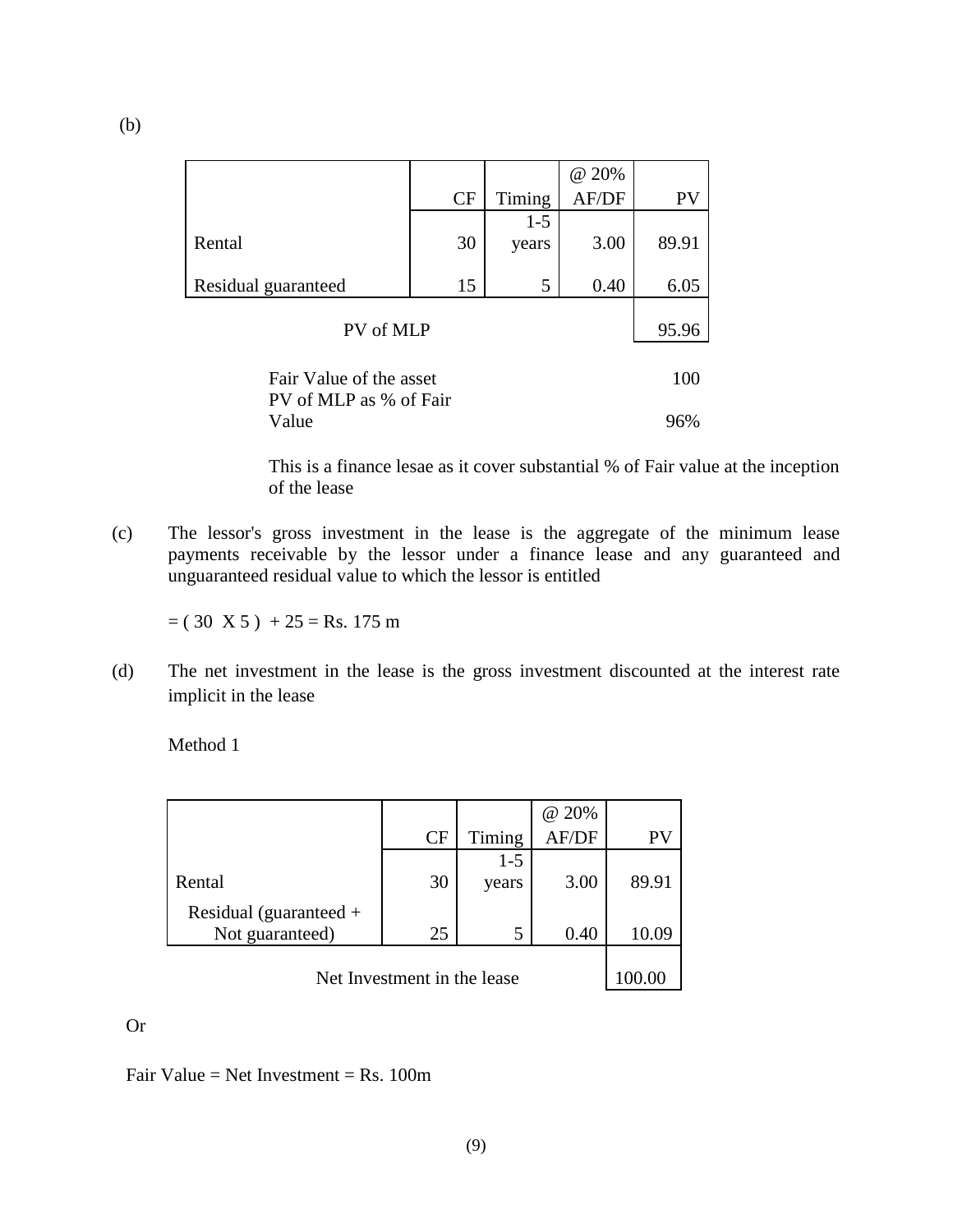|                         |    |         | @ 20% |       |  |
|-------------------------|----|---------|-------|-------|--|
|                         | CF | Timing  | AF/DF | PV    |  |
|                         |    | $1 - 5$ |       |       |  |
| Rental                  | 30 | years   | 3.00  | 89.91 |  |
|                         |    |         |       |       |  |
| Residual guaranteed     | 15 | 5       | 0.40  | 6.05  |  |
|                         |    |         |       |       |  |
| PV of MLP               |    |         |       | 95.96 |  |
|                         |    |         |       |       |  |
| Fair Value of the asset |    |         |       | 100   |  |
| PV of MLP as % of Fair  |    |         |       |       |  |
| Value                   |    |         | 96%   |       |  |

This is a finance lesae as it cover substantial % of Fair value at the inception of the lease

(c) The lessor's gross investment in the lease is the aggregate of the minimum lease payments receivable by the lessor under a finance lease and any guaranteed and unguaranteed residual value to which the lessor is entitled

 $= (30 \text{ X } 5) + 25 = \text{Rs. } 175 \text{ m}$ 

(d) The net investment in the lease is the gross investment discounted at the interest rate implicit in the lease

Method 1

|                                             |           |        | @ 20% |       |
|---------------------------------------------|-----------|--------|-------|-------|
|                                             | <b>CF</b> | Timing | AF/DF | PV    |
|                                             |           | $1-5$  |       |       |
| Rental                                      | 30        | years  | 3.00  | 89.91 |
| Residual (guaranteed $+$<br>Not guaranteed) | 25        | 5      | 0.40  | 10.09 |
| Net Investment in the lease                 |           |        |       |       |

Or

Fair Value = Net Investment = Rs.  $100m$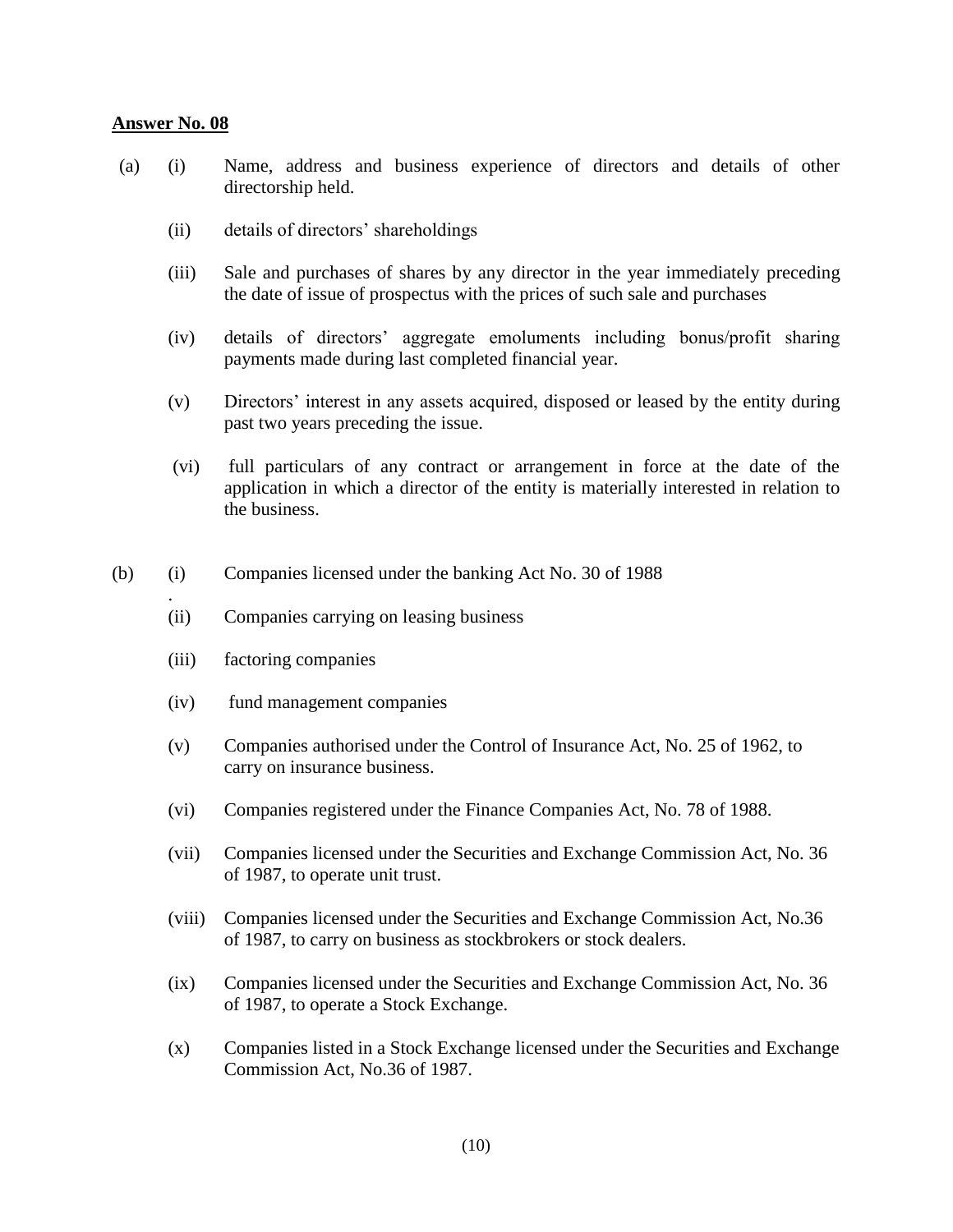.

- (a) (i) Name, address and business experience of directors and details of other directorship held.
	- (ii) details of directors' shareholdings
	- (iii) Sale and purchases of shares by any director in the year immediately preceding the date of issue of prospectus with the prices of such sale and purchases
	- (iv) details of directors' aggregate emoluments including bonus/profit sharing payments made during last completed financial year.
	- (v) Directors' interest in any assets acquired, disposed or leased by the entity during past two years preceding the issue.
	- (vi) full particulars of any contract or arrangement in force at the date of the application in which a director of the entity is materially interested in relation to the business.
- (b) (i) Companies licensed under the banking Act No. 30 of 1988
	- (ii) Companies carrying on leasing business
	- (iii) factoring companies
	- (iv) fund management companies
	- (v) Companies authorised under the Control of Insurance Act, No. 25 of 1962, to carry on insurance business.
	- (vi) Companies registered under the Finance Companies Act, No. 78 of 1988.
	- (vii) Companies licensed under the Securities and Exchange Commission Act, No. 36 of 1987, to operate unit trust.
	- (viii) Companies licensed under the Securities and Exchange Commission Act, No.36 of 1987, to carry on business as stockbrokers or stock dealers.
	- (ix) Companies licensed under the Securities and Exchange Commission Act, No. 36 of 1987, to operate a Stock Exchange.
	- (x) Companies listed in a Stock Exchange licensed under the Securities and Exchange Commission Act, No.36 of 1987.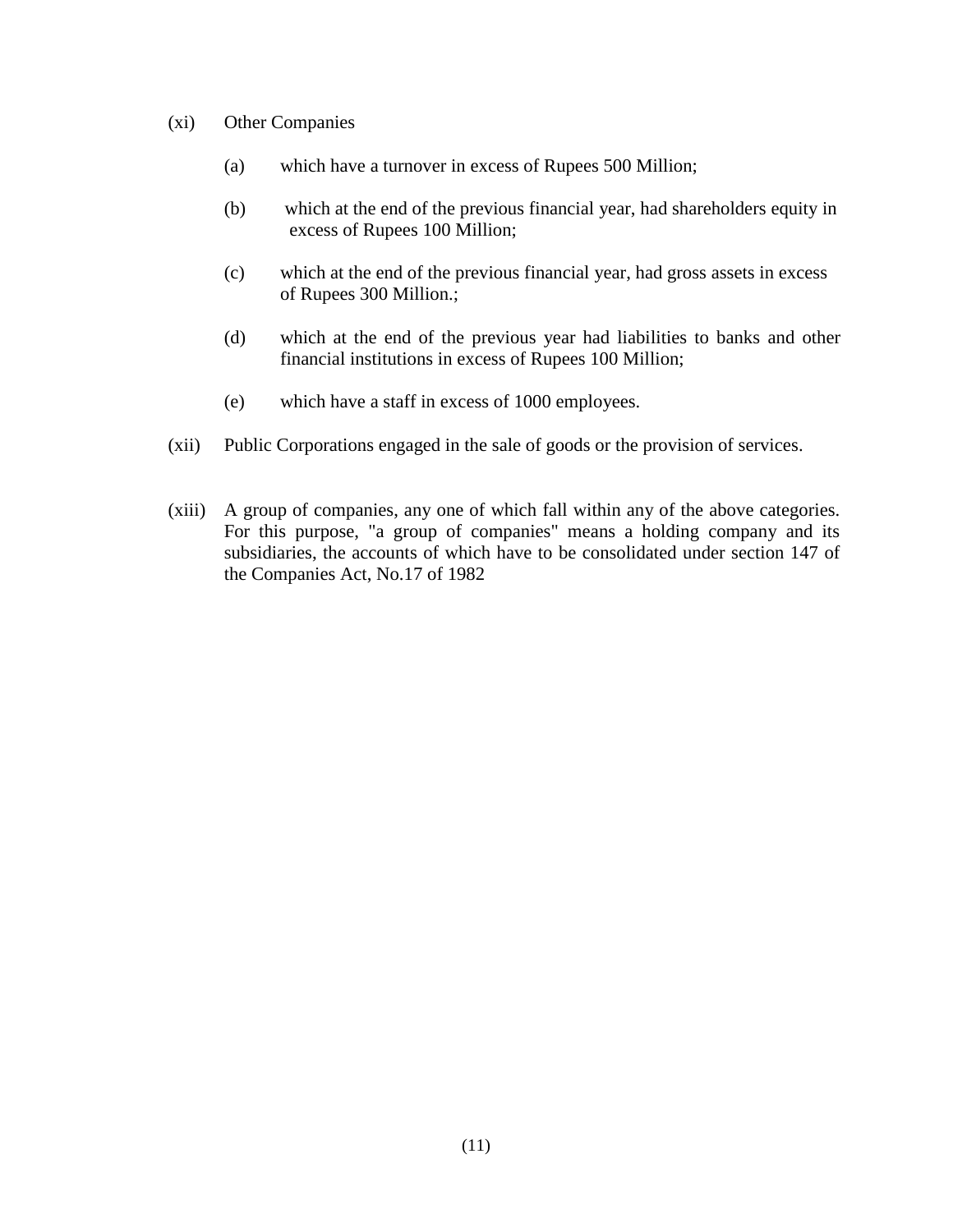- (xi) Other Companies
	- (a) which have a turnover in excess of Rupees 500 Million;
	- (b) which at the end of the previous financial year, had shareholders equity in excess of Rupees 100 Million;
	- (c) which at the end of the previous financial year, had gross assets in excess of Rupees 300 Million.;
	- (d) which at the end of the previous year had liabilities to banks and other financial institutions in excess of Rupees 100 Million;
	- (e) which have a staff in excess of 1000 employees.
- (xii) Public Corporations engaged in the sale of goods or the provision of services.
- (xiii) A group of companies, any one of which fall within any of the above categories. For this purpose, "a group of companies" means a holding company and its subsidiaries, the accounts of which have to be consolidated under section 147 of the Companies Act, No.17 of 1982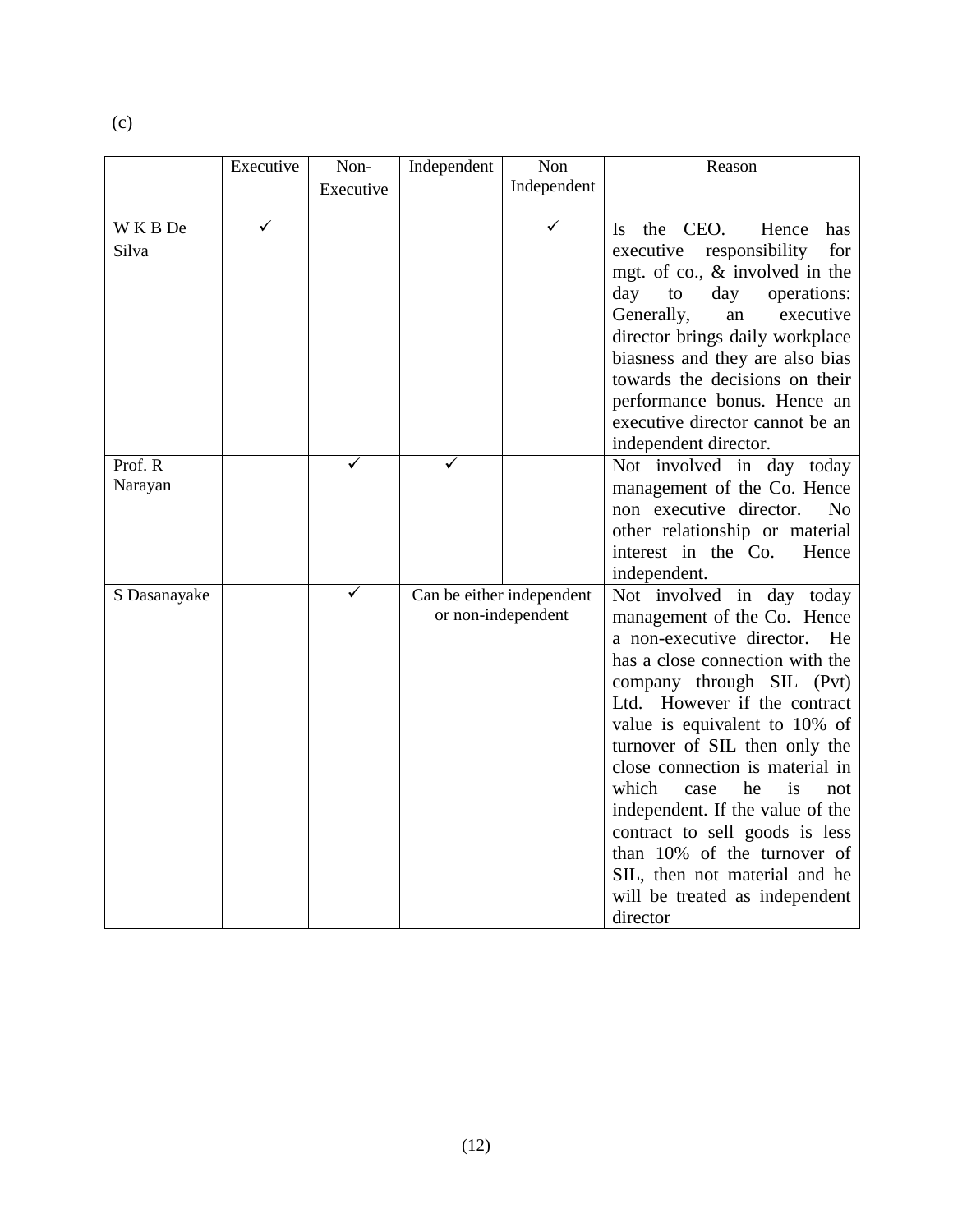|              | Executive | Non-      | Independent | Non                                             | Reason                                                           |
|--------------|-----------|-----------|-------------|-------------------------------------------------|------------------------------------------------------------------|
|              |           | Executive |             | Independent                                     |                                                                  |
|              |           |           |             |                                                 |                                                                  |
| WKBDe        | ✓         |           |             | ✓                                               | the CEO.<br>Hence<br>has<br>Is.                                  |
| Silva        |           |           |             |                                                 | responsibility<br>for<br>executive                               |
|              |           |           |             |                                                 | mgt. of co., & involved in the                                   |
|              |           |           |             |                                                 | day<br>to<br>day<br>operations:<br>Generally,<br>executive<br>an |
|              |           |           |             |                                                 | director brings daily workplace                                  |
|              |           |           |             |                                                 | biasness and they are also bias                                  |
|              |           |           |             |                                                 | towards the decisions on their                                   |
|              |           |           |             |                                                 | performance bonus. Hence an                                      |
|              |           |           |             |                                                 | executive director cannot be an                                  |
|              |           |           |             |                                                 | independent director.                                            |
| Prof. R      |           |           |             |                                                 | Not involved in day today                                        |
| Narayan      |           |           |             |                                                 | management of the Co. Hence                                      |
|              |           |           |             |                                                 | non executive director.<br>N <sub>o</sub>                        |
|              |           |           |             |                                                 | other relationship or material                                   |
|              |           |           |             |                                                 | interest in the Co.<br>Hence                                     |
|              |           | ✓         |             |                                                 | independent.                                                     |
| S Dasanayake |           |           |             | Can be either independent<br>or non-independent | Not involved in day today<br>management of the Co. Hence         |
|              |           |           |             |                                                 | a non-executive director.<br>He                                  |
|              |           |           |             |                                                 | has a close connection with the                                  |
|              |           |           |             |                                                 | company through SIL (Pvt)                                        |
|              |           |           |             |                                                 | Ltd. However if the contract                                     |
|              |           |           |             |                                                 | value is equivalent to 10% of                                    |
|              |           |           |             |                                                 | turnover of SIL then only the                                    |
|              |           |           |             |                                                 | close connection is material in                                  |
|              |           |           |             |                                                 | which<br>he<br>is<br>case<br>not                                 |
|              |           |           |             |                                                 | independent. If the value of the                                 |
|              |           |           |             |                                                 | contract to sell goods is less                                   |
|              |           |           |             |                                                 | than 10% of the turnover of                                      |
|              |           |           |             |                                                 | SIL, then not material and he                                    |
|              |           |           |             |                                                 | will be treated as independent                                   |
|              |           |           |             |                                                 | director                                                         |